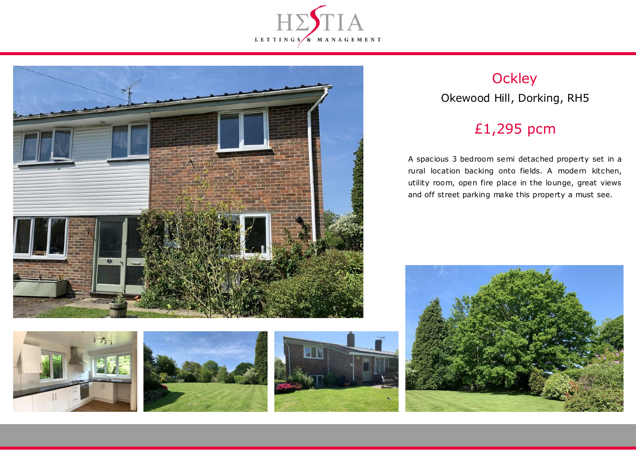



# **Ockley** Okewood Hill, Dorking, RH5

## £1,295 pcm

A spacious 3 bedroom semi detached property set in a rural location backing onto fields. A modern kitchen, utility room, open fire place in the lounge, great views and off street parking make this property a must see.







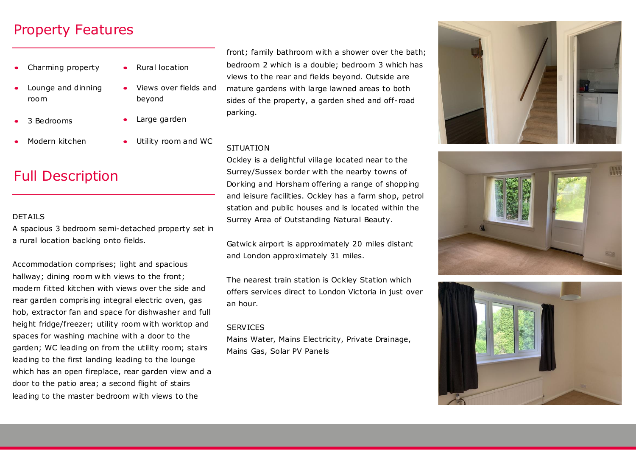### Property Features

- Charming property
- Lounge and dinning room
- 3 Bedrooms
- Modern kitchen
- Rural location
	- Views over fields and beyond
	- Large garden
	- Utility room and WC

## Full Description

#### **DETAILS**

A spacious 3 bedroom semi-detached property set in a rural location backing onto fields.

Accommodation comprises; light and spacious hallway; dining room with views to the front; modern fitted kitchen with views over the side and rear garden comprising integral electric oven, gas hob, extractor fan and space for dishwasher and full height fridge/freezer; utility room with worktop and spaces for washing machine with a door to the garden; WC leading on from the utility room; stairs leading to the first landing leading to the lounge which has an open fireplace, rear garden view and a door to the patio area; a second flight of stairs leading to the master bedroom with views to the

front; family bathroom with a shower over the bath; bedroom 2 which is a double; bedroom 3 which has views to the rear and fields beyond. Outside are mature gardens with large lawned areas to both sides of the property, a garden shed and off-road parking.

### **SITUATION**

Ockley is a delightful village located near to the Surrey/Sussex border with the nearby towns of Dorking and Horsham offering a range of shopping and leisure facilities. Ockley has a farm shop, petrol station and public houses and is located within the Surrey Area of Outstanding Natural Beauty.

Gatwick airport is approximately 20 miles distant and London approximately 31 miles.

The nearest train station is Ockley Station which offers services direct to London Victoria in just over an hour.

#### **SERVICES**

Mains Water, Mains Electricity, Private Drainage, Mains Gas, Solar PV Panels